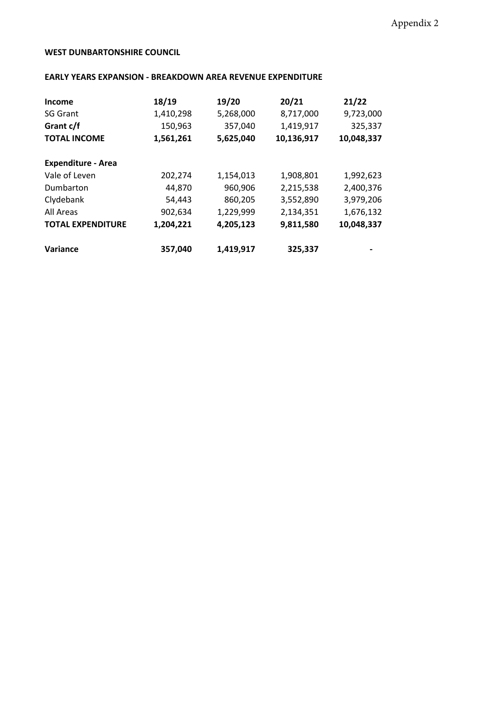## **WEST DUNBARTONSHIRE COUNCIL**

## **EARLY YEARS EXPANSION - BREAKDOWN AREA REVENUE EXPENDITURE**

| <b>Income</b>             | 18/19     | 19/20     | 20/21      | 21/22      |
|---------------------------|-----------|-----------|------------|------------|
| <b>SG Grant</b>           | 1,410,298 | 5,268,000 | 8,717,000  | 9,723,000  |
| Grant c/f                 | 150,963   | 357,040   | 1,419,917  | 325,337    |
| <b>TOTAL INCOME</b>       | 1,561,261 | 5,625,040 | 10,136,917 | 10,048,337 |
| <b>Expenditure - Area</b> |           |           |            |            |
| Vale of Leven             | 202,274   | 1,154,013 | 1,908,801  | 1,992,623  |
| Dumbarton                 | 44,870    | 960,906   | 2,215,538  | 2,400,376  |
| Clydebank                 | 54,443    | 860,205   | 3,552,890  | 3,979,206  |
| All Areas                 | 902,634   | 1,229,999 | 2,134,351  | 1,676,132  |
| <b>TOTAL EXPENDITURE</b>  | 1,204,221 | 4,205,123 | 9,811,580  | 10,048,337 |
| Variance                  | 357,040   | 1,419,917 | 325,337    |            |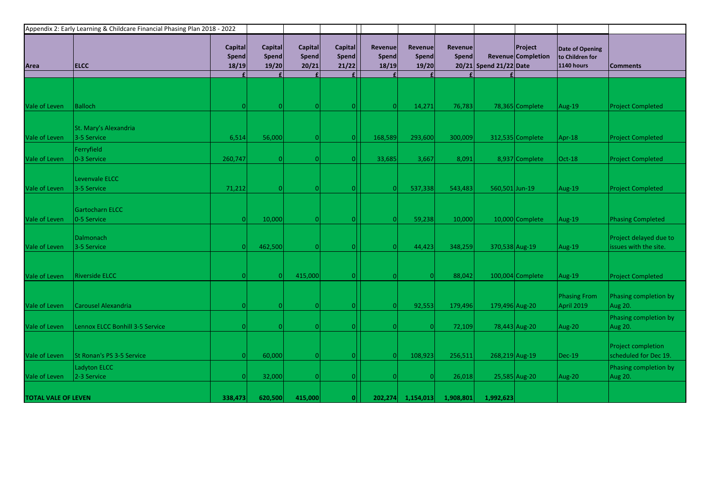| Appendix 2: Early Learning & Childcare Financial Phasing Plan 2018 - 2022 |                                       |                                         |                           |                                  |                                  |                           |                           |                         |                        |                                      |                                                                |                                                 |
|---------------------------------------------------------------------------|---------------------------------------|-----------------------------------------|---------------------------|----------------------------------|----------------------------------|---------------------------|---------------------------|-------------------------|------------------------|--------------------------------------|----------------------------------------------------------------|-------------------------------------------------|
| Area                                                                      | <b>ELCC</b>                           | <b>Capital</b><br><b>Spend</b><br>18/19 | Capital<br>Spend<br>19/20 | <b>Capital</b><br>Spend<br>20/21 | <b>Capital</b><br>Spend<br>21/22 | Revenue<br>Spend<br>18/19 | Revenue<br>Spend<br>19/20 | <b>Revenue</b><br>Spend | 20/21 Spend 21/22 Date | <b>Project</b><br>Revenue Completion | <b>Date of Opening</b><br>to Children for<br><b>1140 hours</b> | <b>Comments</b>                                 |
|                                                                           |                                       |                                         |                           |                                  |                                  |                           |                           |                         |                        |                                      |                                                                |                                                 |
| Vale of Leven                                                             | <b>Balloch</b>                        |                                         |                           |                                  |                                  |                           | 14,271                    | 76,783                  |                        | 78,365 Complete                      | Aug-19                                                         | <b>Project Completed</b>                        |
| Vale of Leven                                                             | St. Mary's Alexandria<br>3-5 Service  | 6,514                                   | 56,000                    |                                  |                                  | 168,589                   | 293,600                   | 300,009                 |                        | 312,535 Complete                     | Apr-18                                                         | <b>Project Completed</b>                        |
| Vale of Leven                                                             | Ferryfield<br>0-3 Service             | 260,747                                 |                           |                                  |                                  | 33,685                    | 3,667                     | 8,091                   |                        | 8,937 Complete                       | $Oct-18$                                                       | <b>Project Completed</b>                        |
| Vale of Leven                                                             | Levenvale ELCC<br>3-5 Service         | 71,212                                  |                           |                                  |                                  |                           | 537,338                   | 543,483                 | 560,501 Jun-19         |                                      | Aug-19                                                         | <b>Project Completed</b>                        |
| Vale of Leven                                                             | <b>Gartocharn ELCC</b><br>0-5 Service |                                         | 10,000                    |                                  |                                  |                           | 59,238                    | 10,000                  |                        | 10,000 Complete                      | Aug-19                                                         | <b>Phasing Completed</b>                        |
| Vale of Leven                                                             | <b>Dalmonach</b><br>3-5 Service       |                                         | 462,500                   |                                  |                                  |                           | 44,423                    | 348,259                 |                        | 370,538 Aug-19                       | Aug-19                                                         | Project delayed due to<br>issues with the site. |
| Vale of Leven                                                             | <b>Riverside ELCC</b>                 |                                         |                           | 415,000                          |                                  |                           |                           | 88,042                  |                        | 100,004 Complete                     | Aug-19                                                         | <b>Project Completed</b>                        |
| Vale of Leven                                                             | Carousel Alexandria                   |                                         |                           |                                  |                                  | ΩI                        | 92,553                    | 179,496                 |                        | 179,496 Aug-20                       | <b>Phasing From</b><br>April 2019                              | Phasing completion by<br>Aug 20.                |
| Vale of Leven                                                             | Lennox ELCC Bonhill 3-5 Service       |                                         |                           |                                  |                                  |                           |                           | 72,109                  |                        | 78,443 Aug-20                        | Aug-20                                                         | Phasing completion by<br>Aug 20.                |
| Vale of Leven                                                             | St Ronan's PS 3-5 Service             |                                         | 60,000                    |                                  |                                  |                           | 108,923                   | 256,511                 |                        | 268,219 Aug-19                       | $\vert$ Dec-19                                                 | Project completion<br>scheduled for Dec 19.     |
| Vale of Leven                                                             | Ladyton ELCC<br>2-3 Service           |                                         | 32,000                    |                                  |                                  |                           |                           | 26,018                  |                        | 25,585 Aug-20                        | Aug-20                                                         | Phasing completion by<br>Aug 20.                |
| <b>TOTAL VALE OF LEVEN</b>                                                |                                       | 338,473                                 | 620,500                   | 415,000                          |                                  |                           | 202,274 1,154,013         | 1,908,801               | 1,992,623              |                                      |                                                                |                                                 |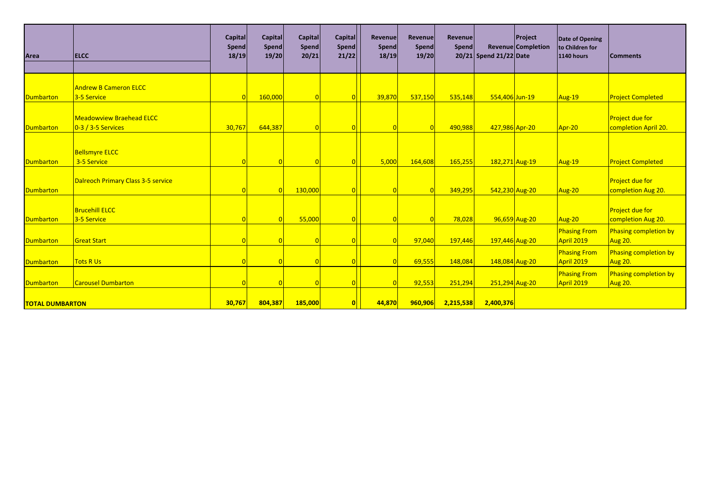| Area                   | <b>ELCC</b>                               | <b>Capital</b><br><b>Spend</b><br>18/19 | Capital<br><b>Spend</b><br>19/20 | Capital<br>Spend<br>20/21 | <b>Capital</b><br>Spend<br>21/22 | <b>Revenue</b><br>Spend<br>18/19 | Revenue<br><b>Spend</b><br>19/20 | Revenue<br>Spend | 20/21 Spend 21/22 Date | <b>Project</b><br><b>Revenue Completion</b> | Date of Opening<br>to Children for<br><b>1140 hours</b> | <b>Comments</b>          |
|------------------------|-------------------------------------------|-----------------------------------------|----------------------------------|---------------------------|----------------------------------|----------------------------------|----------------------------------|------------------|------------------------|---------------------------------------------|---------------------------------------------------------|--------------------------|
|                        |                                           |                                         |                                  |                           |                                  |                                  |                                  |                  |                        |                                             |                                                         |                          |
|                        |                                           |                                         |                                  |                           |                                  |                                  |                                  |                  |                        |                                             |                                                         |                          |
|                        | <b>Andrew B Cameron ELCC</b>              |                                         |                                  |                           |                                  |                                  |                                  |                  |                        |                                             |                                                         |                          |
| Dumbarton              | 3-5 Service                               |                                         | 160,000                          |                           |                                  | 39,870                           | 537,150                          | 535,148          | 554,406 Jun-19         |                                             | Aug-19                                                  | <b>Project Completed</b> |
|                        | <b>Meadowview Braehead ELCC</b>           |                                         |                                  |                           |                                  |                                  |                                  |                  |                        |                                             |                                                         | <b>Project due for</b>   |
| Dumbarton              | $0-3/3-5$ Services                        | 30,767                                  | 644,387                          |                           |                                  |                                  |                                  | 490,988          | 427,986 Apr-20         |                                             | Apr-20                                                  | completion April 20.     |
|                        |                                           |                                         |                                  |                           |                                  |                                  |                                  |                  |                        |                                             |                                                         |                          |
|                        |                                           |                                         |                                  |                           |                                  |                                  |                                  |                  |                        |                                             |                                                         |                          |
|                        | <b>Bellsmyre ELCC</b>                     |                                         |                                  |                           |                                  |                                  |                                  |                  |                        |                                             |                                                         |                          |
| Dumbarton              | 3-5 Service                               |                                         |                                  |                           |                                  | 5,000                            | 164,608                          | 165,255          | 182,271 Aug-19         |                                             | Aug-19                                                  | <b>Project Completed</b> |
|                        |                                           |                                         |                                  |                           |                                  |                                  |                                  |                  |                        |                                             |                                                         |                          |
|                        | <b>Dalreoch Primary Class 3-5 service</b> |                                         |                                  |                           |                                  |                                  |                                  |                  |                        |                                             |                                                         | <b>Project due for</b>   |
| Dumbarton              |                                           |                                         |                                  | 130,000                   |                                  |                                  |                                  | 349,295          | 542,230 Aug-20         |                                             | Aug-20                                                  | completion Aug 20.       |
|                        | <b>Brucehill ELCC</b>                     |                                         |                                  |                           |                                  |                                  |                                  |                  |                        |                                             |                                                         | <b>Project due for</b>   |
| Dumbarton              | 3-5 Service                               |                                         |                                  | 55,000                    |                                  |                                  |                                  | 78,028           |                        | 96,659 Aug-20                               | Aug-20                                                  | completion Aug 20.       |
|                        |                                           |                                         |                                  |                           |                                  |                                  |                                  |                  |                        |                                             | <b>Phasing From</b>                                     | Phasing completion by    |
| Dumbarton              | <b>Great Start</b>                        |                                         |                                  |                           |                                  |                                  | 97,040                           | 197,446          | 197,446 Aug-20         |                                             | April 2019                                              | Aug 20.                  |
|                        |                                           |                                         |                                  |                           |                                  |                                  |                                  |                  |                        |                                             | <b>Phasing From</b>                                     | Phasing completion by    |
| <b>Dumbarton</b>       | <b>Tots R Us</b>                          |                                         |                                  |                           |                                  |                                  | 69,555                           | 148,084          | 148,084 Aug-20         |                                             | April 2019                                              | Aug 20.                  |
|                        |                                           |                                         |                                  |                           |                                  |                                  |                                  |                  |                        |                                             |                                                         | Phasing completion by    |
| Dumbarton              | <b>Carousel Dumbarton</b>                 |                                         |                                  |                           |                                  |                                  | 92,553                           | 251,294          | 251,294 Aug-20         |                                             | <b>Phasing From</b><br>April 2019                       | Aug 20.                  |
|                        |                                           |                                         |                                  |                           |                                  |                                  |                                  |                  |                        |                                             |                                                         |                          |
| <b>TOTAL DUMBARTON</b> |                                           | 30,767                                  | 804,387                          | <b>185,000</b>            |                                  | 44,870                           | 960,906                          | 2,215,538        | 2,400,376              |                                             |                                                         |                          |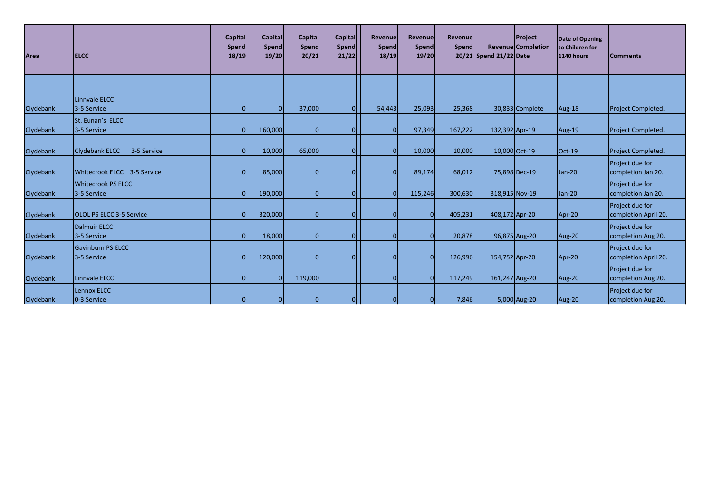| Area      | <b>ELCC</b>                              | <b>Capital</b><br><b>Spend</b><br>18/19 | Capital<br><b>Spend</b><br>19/20 | <b>Capital</b><br>Spend<br>20/21 | Capital<br>Spend<br>21/22 | Revenue<br>Spend<br>18/19 | <b>Revenue</b><br>Spend<br>19/20 | <b>Revenue</b><br>Spend | 20/21 Spend 21/22 Date | <b>Project</b><br>Revenue Completion | Date of Opening<br>to Children for<br>1140 hours | <b>Comments</b>                         |
|-----------|------------------------------------------|-----------------------------------------|----------------------------------|----------------------------------|---------------------------|---------------------------|----------------------------------|-------------------------|------------------------|--------------------------------------|--------------------------------------------------|-----------------------------------------|
|           |                                          |                                         |                                  |                                  |                           |                           |                                  |                         |                        |                                      |                                                  |                                         |
|           | Linnvale ELCC                            |                                         |                                  |                                  |                           |                           |                                  |                         |                        |                                      |                                                  |                                         |
| Clydebank | 3-5 Service                              | $\Omega$                                | n                                | 37,000                           | 01                        | 54,443                    | 25,093                           | 25,368                  |                        | 30,833 Complete                      | Aug-18                                           | Project Completed.                      |
| Clydebank | St. Eunan's ELCC<br>3-5 Service          | $\Omega$                                | 160,000                          | <sup>O</sup>                     | ΟI                        | ΩI                        | 97,349                           | 167,222                 | 132,392 Apr-19         |                                      | Aug-19                                           | Project Completed.                      |
| Clydebank | Clydebank ELCC<br>3-5 Service            |                                         | 10,000                           | 65,000                           | ΩI                        | $\Omega$                  | 10,000                           | 10,000                  | 10,000 Oct-19          |                                      | $Oct-19$                                         | Project Completed.                      |
| Clydebank | Whitecrook ELCC 3-5 Service              |                                         | 85,000                           | $\Omega$                         | ΩI                        |                           | 89,174                           | 68,012                  |                        | 75,898 Dec-19                        | Jan-20                                           | Project due for<br>completion Jan 20.   |
| Clydebank | <b>Whitecrook PS ELCC</b><br>3-5 Service |                                         | 190,000                          | $\Omega$                         | 01                        | $\Omega$                  | 115,246                          | 300,630                 | 318,915 Nov-19         |                                      | $Jan-20$                                         | Project due for<br>completion Jan 20.   |
| Clydebank | <b>OLOL PS ELCC 3-5 Service</b>          |                                         | 320,000                          | $\Omega$                         | ΩI                        | $\Omega$                  |                                  | 405,231                 | 408,172 Apr-20         |                                      | Apr-20                                           | Project due for<br>completion April 20. |
| Clydebank | <b>Dalmuir ELCC</b><br>3-5 Service       | $\Omega$                                | 18,000                           | $\Omega$                         | ΟI                        | $\Omega$                  |                                  | 20,878                  |                        | 96,875 Aug-20                        | Aug-20                                           | Project due for<br>completion Aug 20.   |
| Clydebank | <b>Gavinburn PS ELCC</b><br>3-5 Service  |                                         | 120,000                          | $\Omega$                         | ΩI                        | $\Omega$                  |                                  | 126,996                 | 154,752 Apr-20         |                                      | Apr-20                                           | Project due for<br>completion April 20. |
| Clydebank | Linnvale ELCC                            | $\Omega$                                |                                  | 119,000                          |                           | ΩI                        |                                  | 117,249                 | 161,247 Aug-20         |                                      | Aug-20                                           | Project due for<br>completion Aug 20.   |
| Clydebank | Lennox ELCC<br>0-3 Service               |                                         |                                  | $\Omega$                         | 01                        |                           |                                  | 7,846                   |                        | 5,000 Aug-20                         | Aug-20                                           | Project due for<br>completion Aug 20.   |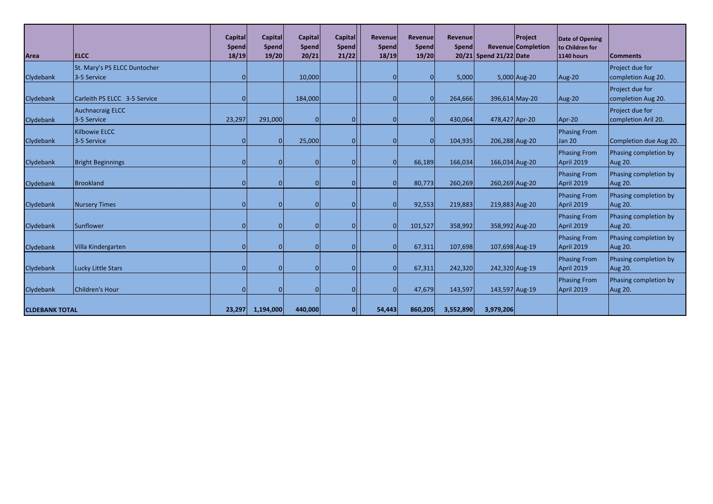| Area                  | <b>ELCC</b>                                 | <b>Capital</b><br><b>Spend</b><br>18/19 | Capital<br>Spend<br>19/20 | <b>Capital</b><br><b>Spend</b><br>20/21 | <b>Capital</b><br>Spend<br>21/22 | Revenue<br><b>Spend</b><br>18/19 | Revenue<br><b>Spend</b><br>19/20 | Revenue<br>Spend | 20/21 Spend 21/22 Date | Project<br><b>Revenue Completion</b> | Date of Opening<br>to Children for<br><b>1140 hours</b> | <b>Comments</b>                         |
|-----------------------|---------------------------------------------|-----------------------------------------|---------------------------|-----------------------------------------|----------------------------------|----------------------------------|----------------------------------|------------------|------------------------|--------------------------------------|---------------------------------------------------------|-----------------------------------------|
| Clydebank             | St. Mary's PS ELCC Duntocher<br>3-5 Service |                                         |                           | 10,000                                  |                                  |                                  | $\Omega$                         | 5,000            |                        | 5,000 Aug-20                         | Aug-20                                                  | Project due for<br>completion Aug 20.   |
| Clydebank             | Carleith PS ELCC 3-5 Service                |                                         |                           | 184,000                                 |                                  |                                  | $\vert$ 0                        | 264,666          |                        | 396,614 May-20                       | Aug-20                                                  | Project due for<br>completion Aug 20.   |
| Clydebank             | <b>Auchnacraig ELCC</b><br>3-5 Service      | 23,297                                  | 291,000                   |                                         |                                  |                                  | $\Omega$                         | 430,064          | 478,427 Apr-20         |                                      | Apr-20                                                  | Project due for<br>completion Aril 20.  |
| Clydebank             | <b>Kilbowie ELCC</b><br>3-5 Service         |                                         | 0                         | 25,000                                  | $\Omega$                         |                                  | 0I                               | 104,935          | 206,288 Aug-20         |                                      | Phasing From<br>Jan 20                                  | Completion due Aug 20.                  |
| Clydebank             | <b>Bright Beginnings</b>                    |                                         | O                         |                                         | $\Omega$                         |                                  | 66,189                           | 166,034          |                        | 166,034 Aug-20                       | Phasing From<br>April 2019                              | Phasing completion by<br><b>Aug 20.</b> |
| Clydebank             | Brookland                                   |                                         |                           |                                         |                                  |                                  | 80,773                           | 260,269          | 260,269 Aug-20         |                                      | <b>Phasing From</b><br>April 2019                       | Phasing completion by<br><b>Aug 20.</b> |
| Clydebank             | <b>Nursery Times</b>                        |                                         |                           |                                         |                                  |                                  | 92,553                           | 219,883          | 219,883 Aug-20         |                                      | <b>Phasing From</b><br>April 2019                       | Phasing completion by<br><b>Aug 20.</b> |
| Clydebank             | Sunflower                                   |                                         |                           |                                         |                                  |                                  | 101,527                          | 358,992          | 358,992 Aug-20         |                                      | <b>Phasing From</b><br>April 2019                       | Phasing completion by<br><b>Aug 20.</b> |
| Clydebank             | Villa Kindergarten                          |                                         |                           |                                         |                                  |                                  | 67,311                           | 107,698          | 107,698 Aug-19         |                                      | <b>Phasing From</b><br>April 2019                       | Phasing completion by<br>Aug 20.        |
| Clydebank             | Lucky Little Stars                          |                                         |                           |                                         | $\Omega$                         |                                  | 67,311                           | 242,320          |                        | 242,320 Aug-19                       | Phasing From<br>April 2019                              | Phasing completion by<br><b>Aug 20.</b> |
| Clydebank             | Children's Hour                             |                                         |                           |                                         | $\Omega$                         |                                  | 47,679                           | 143,597          | 143,597 Aug-19         |                                      | Phasing From<br>April 2019                              | Phasing completion by<br>Aug 20.        |
| <b>CLDEBANK TOTAL</b> |                                             | 23,297                                  | 1,194,000                 | 440,000                                 | $\Omega$                         | 54,443                           | 860,205                          | 3,552,890        | 3,979,206              |                                      |                                                         |                                         |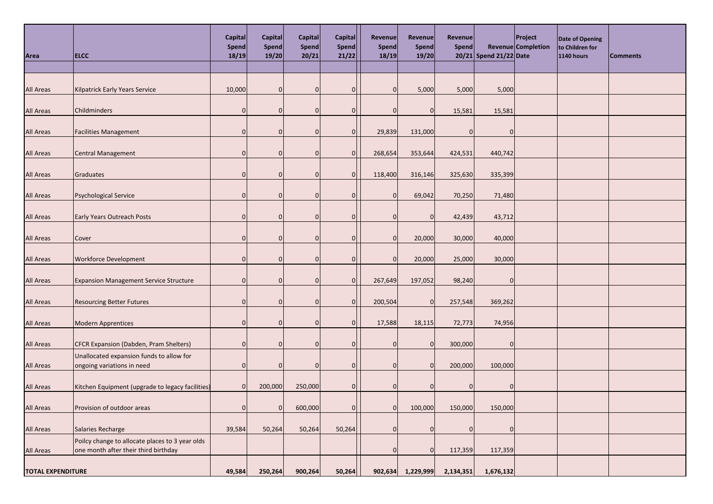| Area                     | <b>ELCC</b>                                                                             | Capital<br><b>Spend</b><br>18/19 | Capital<br>Spend<br>19/20 | <b>Capital</b><br><b>Spend</b><br>20/21 | <b>Capital</b><br><b>Spend</b><br>21/22 | <b>Revenuel</b><br>Spend<br>18/19 | Revenue<br>Spend<br>19/20 | Revenue<br>Spend | 20/21 Spend 21/22 Date | <b>Project</b><br>Revenue Completion | Date of Opening<br>to Children for<br><b>1140 hours</b> | <b>Comments</b> |
|--------------------------|-----------------------------------------------------------------------------------------|----------------------------------|---------------------------|-----------------------------------------|-----------------------------------------|-----------------------------------|---------------------------|------------------|------------------------|--------------------------------------|---------------------------------------------------------|-----------------|
|                          |                                                                                         |                                  |                           |                                         |                                         |                                   |                           |                  |                        |                                      |                                                         |                 |
| <b>All Areas</b>         | <b>Kilpatrick Early Years Service</b>                                                   | 10,000                           | $\overline{0}$            |                                         | 0                                       |                                   | 5,000                     | 5,000            | 5,000                  |                                      |                                                         |                 |
| <b>All Areas</b>         | Childminders                                                                            | ŋ                                | $\Omega$                  |                                         | O                                       |                                   | 0                         | 15,581           | 15,581                 |                                      |                                                         |                 |
| <b>All Areas</b>         | <b>Facilities Management</b>                                                            | ŋ                                | $\Omega$                  |                                         | O                                       | 29,839                            | 131,000                   | O                | $\Omega$               |                                      |                                                         |                 |
| <b>All Areas</b>         | <b>Central Management</b>                                                               | O                                | 0                         |                                         | 0                                       | 268,654                           | 353,644                   | 424,531          | 440,742                |                                      |                                                         |                 |
| <b>All Areas</b>         | Graduates                                                                               | O                                | $\Omega$                  |                                         | $\Omega$                                | 118,400                           | 316,146                   | 325,630          | 335,399                |                                      |                                                         |                 |
| <b>All Areas</b>         | <b>Psychological Service</b>                                                            | 0                                | $\Omega$                  |                                         |                                         |                                   | 69,042                    | 70,250           | 71,480                 |                                      |                                                         |                 |
| <b>All Areas</b>         | <b>Early Years Outreach Posts</b>                                                       | ŋ                                | $\Omega$                  |                                         | O                                       |                                   | <sup>0</sup>              | 42,439           | 43,712                 |                                      |                                                         |                 |
| <b>All Areas</b>         | Cover                                                                                   | U                                | $\Omega$                  |                                         | 0                                       |                                   | 20,000                    | 30,000           | 40,000                 |                                      |                                                         |                 |
| <b>All Areas</b>         | <b>Workforce Development</b>                                                            | U                                | $\Omega$                  |                                         | O                                       |                                   | 20,000                    | 25,000           | 30,000                 |                                      |                                                         |                 |
| <b>All Areas</b>         | <b>Expansion Management Service Structure</b>                                           | 0                                | $\Omega$                  |                                         | $\Omega$                                | 267,649                           | 197,052                   | 98,240           | $\overline{0}$         |                                      |                                                         |                 |
| <b>All Areas</b>         | <b>Resourcing Better Futures</b>                                                        |                                  | 0                         |                                         | 0                                       | 200,504                           | $\overline{0}$            | 257,548          | 369,262                |                                      |                                                         |                 |
| <b>All Areas</b>         | <b>Modern Apprentices</b>                                                               | $\Omega$                         | $\Omega$                  |                                         | $\Omega$                                | 17,588                            | 18,115                    | 72,773           | 74,956                 |                                      |                                                         |                 |
| <b>All Areas</b>         | CFCR Expansion (Dabden, Pram Shelters)                                                  | ŋ                                | $\Omega$                  |                                         |                                         |                                   | 0                         | 300,000          | $\overline{0}$         |                                      |                                                         |                 |
| <b>All Areas</b>         | Unallocated expansion funds to allow for<br>ongoing variations in need                  |                                  | <sup>0</sup>              |                                         | 0                                       |                                   | 0                         | 200,000          | 100,000                |                                      |                                                         |                 |
| <b>All Areas</b>         | Kitchen Equipment (upgrade to legacy facilities)                                        | $\Omega$                         | 200,000                   | 250,000                                 | $\overline{0}$                          |                                   | <sup>O</sup>              | $\Omega$         | $\overline{O}$         |                                      |                                                         |                 |
| <b>All Areas</b>         | Provision of outdoor areas                                                              |                                  | $\overline{0}$            | 600,000                                 | 0                                       |                                   | 100,000                   | 150,000          | 150,000                |                                      |                                                         |                 |
| <b>All Areas</b>         | Salaries Recharge                                                                       | 39,584                           | 50,264                    | 50,264                                  | 50,264                                  |                                   | 0                         |                  | 0                      |                                      |                                                         |                 |
| <b>All Areas</b>         | Poilcy change to allocate places to 3 year olds<br>one month after their third birthday |                                  |                           |                                         |                                         |                                   | $\Omega$                  | 117,359          | 117,359                |                                      |                                                         |                 |
| <b>TOTAL EXPENDITURE</b> |                                                                                         | 49,584                           | 250,264                   | 900,264                                 | 50,264                                  |                                   | 902,634 1,229,999         | 2,134,351        | 1,676,132              |                                      |                                                         |                 |